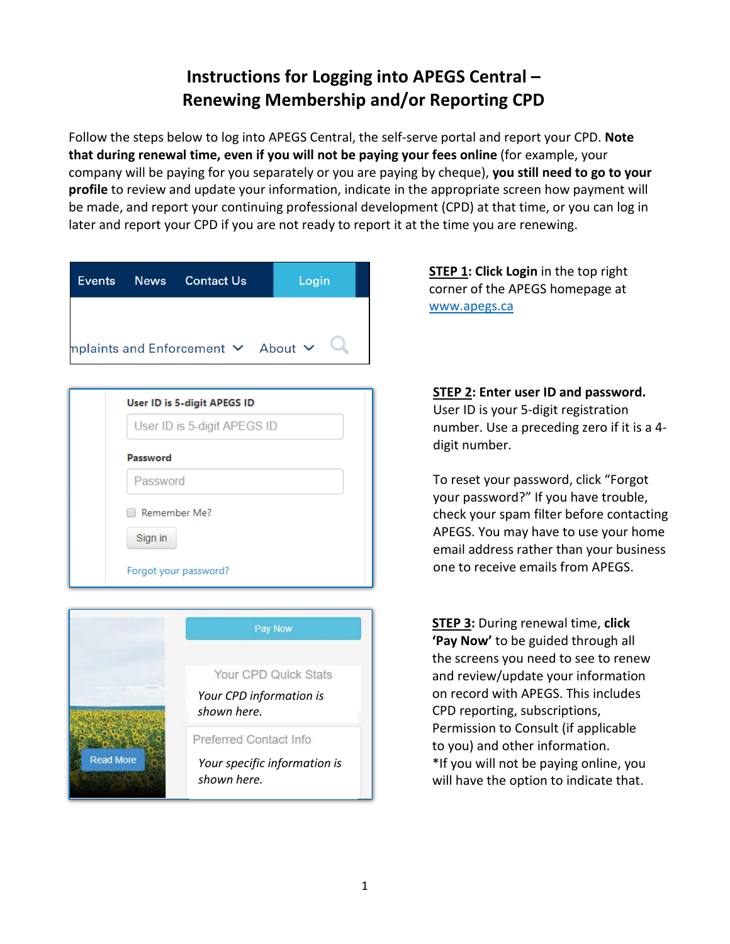## **Instructions for Logging into APEGS Central – Renewing Membership and/or Reporting CPD**

Follow the steps below to log into APEGS Central, the self-serve portal and report your CPD. **Note that during renewal time, even if you will not be paying your fees online** (for example, your company will be paying for you separately or you are paying by cheque), **you still need to go to your profile** to review and update your information, indicate in the appropriate screen how payment will be made, and report your continuing professional development (CPD) at that time, or you can log in later and report your CPD if you are not ready to report it at the time you are renewing.

|                                                                        |                       | Events News Contact Us | Login |  |
|------------------------------------------------------------------------|-----------------------|------------------------|-------|--|
|                                                                        |                       |                        |       |  |
| <code>mplaints</code> and <code>Enforcement</code> $\sim$ About $\sim$ |                       |                        |       |  |
|                                                                        |                       |                        |       |  |
| <b>User ID is 5-digit APEGS ID</b>                                     |                       |                        |       |  |
| User ID is 5-digit APEGS ID                                            |                       |                        |       |  |
| Password                                                               |                       |                        |       |  |
|                                                                        | Password              |                        |       |  |
| Remember Me?<br>Sign in                                                |                       |                        |       |  |
|                                                                        | Forgot your password? |                        |       |  |
|                                                                        |                       |                        |       |  |
| <b>Day Now</b>                                                         |                       |                        |       |  |



**STEP 1: Click Login** in the top right corner of the APEGS homepage at [www.apegs.ca](http://www.apegs.ca/)

**STEP 2: Enter user ID and password.**  User ID is your 5-digit registration number. Use a preceding zero if it is a 4 digit number.

To reset your password, click "Forgot your password?" If you have trouble, check your spam filter before contacting APEGS. You may have to use your home email address rather than your business one to receive emails from APEGS.

**STEP 3:** During renewal time, **click 'Pay Now'** to be guided through all the screens you need to see to renew and review/update your information on record with APEGS. This includes CPD reporting, subscriptions, Permission to Consult (if applicable to you) and other information. \*If you will not be paying online, you will have the option to indicate that.